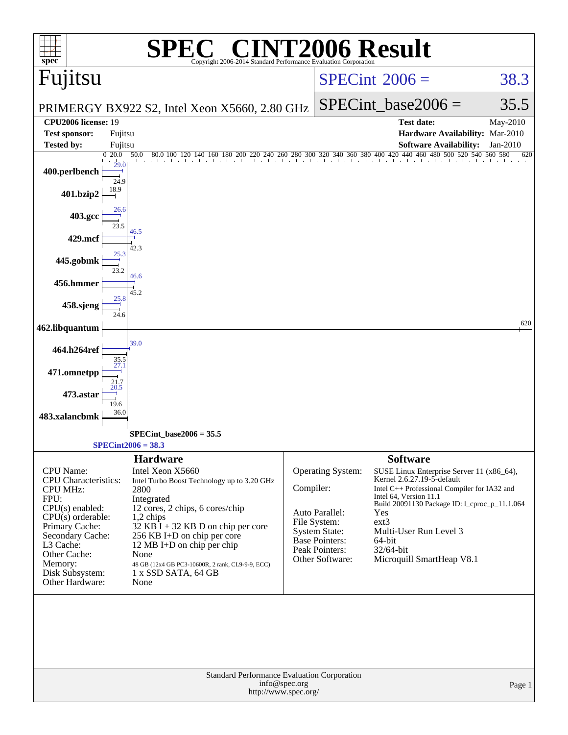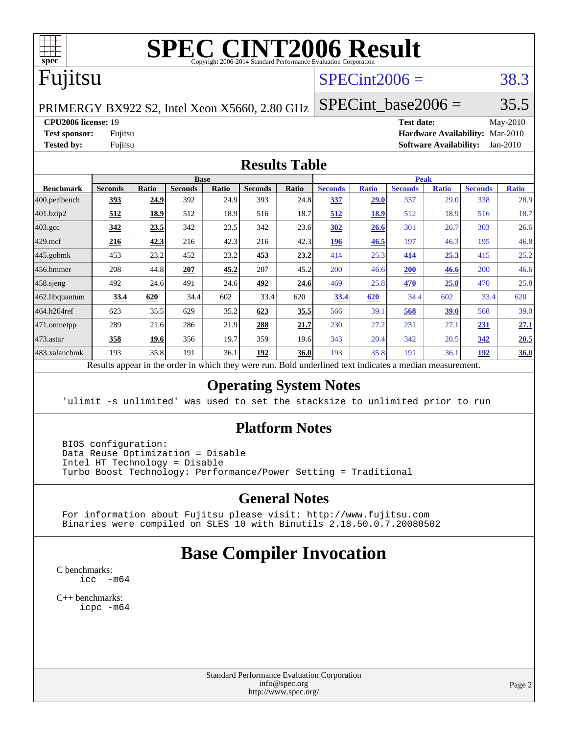

# **[SPEC CINT2006 Result](http://www.spec.org/auto/cpu2006/Docs/result-fields.html#SPECCINT2006Result)**

# Fujitsu

## $SPECint2006 = 38.3$  $SPECint2006 = 38.3$

PRIMERGY BX922 S2, Intel Xeon X5660, 2.80 GHz

SPECint base2006 =  $35.5$ 

**[CPU2006 license:](http://www.spec.org/auto/cpu2006/Docs/result-fields.html#CPU2006license)** 19 **[Test date:](http://www.spec.org/auto/cpu2006/Docs/result-fields.html#Testdate)** May-2010 **[Test sponsor:](http://www.spec.org/auto/cpu2006/Docs/result-fields.html#Testsponsor)** Fujitsu **[Hardware Availability:](http://www.spec.org/auto/cpu2006/Docs/result-fields.html#HardwareAvailability)** Mar-2010 **[Tested by:](http://www.spec.org/auto/cpu2006/Docs/result-fields.html#Testedby)** Fujitsu **[Software Availability:](http://www.spec.org/auto/cpu2006/Docs/result-fields.html#SoftwareAvailability)** Jan-2010

#### **[Results Table](http://www.spec.org/auto/cpu2006/Docs/result-fields.html#ResultsTable)**

|                    | <b>Base</b>                                                                                              |              |                |       |                |       | <b>Peak</b>    |              |                |              |                |              |  |
|--------------------|----------------------------------------------------------------------------------------------------------|--------------|----------------|-------|----------------|-------|----------------|--------------|----------------|--------------|----------------|--------------|--|
| <b>Benchmark</b>   | <b>Seconds</b>                                                                                           | <b>Ratio</b> | <b>Seconds</b> | Ratio | <b>Seconds</b> | Ratio | <b>Seconds</b> | <b>Ratio</b> | <b>Seconds</b> | <b>Ratio</b> | <b>Seconds</b> | <b>Ratio</b> |  |
| 400.perlbench      | 393                                                                                                      | 24.9         | 392            | 24.9  | 393            | 24.8  | 337            | 29.0         | 337            | 29.0         | 338            | 28.9         |  |
| 401.bzip2          | 512                                                                                                      | <u>18.9</u>  | 512            | 18.9  | 516            | 18.7  | 512            | <u>18.9</u>  | 512            | 18.9         | 516            | 18.7         |  |
| $403.\mathrm{gcc}$ | 342                                                                                                      | 23.5         | 342            | 23.5  | 342            | 23.6  | 302            | 26.6         | 301            | 26.7         | 303            | 26.6         |  |
| $429$ mcf          | 216                                                                                                      | 42.3         | 216            | 42.3  | 216            | 42.3  | 196            | 46.5         | 197            | 46.3         | 195            | 46.8         |  |
| $445$ .gobmk       | 453                                                                                                      | 23.2         | 452            | 23.2  | 453            | 23.2  | 414            | 25.3         | 414            | 25.3         | 415            | 25.2         |  |
| 456.hmmer          | 208                                                                                                      | 44.8         | 207            | 45.2  | 207            | 45.2  | 200            | 46.6         | 200            | 46.6         | 200            | 46.6         |  |
| $458$ .sjeng       | 492                                                                                                      | 24.6         | 491            | 24.6  | 492            | 24.6  | 469            | 25.8         | 470            | 25.8         | 470            | 25.8         |  |
| 462.libquantum     | 33.4                                                                                                     | 620          | 34.4           | 602   | 33.4           | 620   | 33.4           | 620          | 34.4           | 602          | 33.4           | 620          |  |
| 464.h264ref        | 623                                                                                                      | 35.5         | 629            | 35.2  | 623            | 35.5  | 566            | 39.1         | 568            | <u>39.0</u>  | 568            | 39.0         |  |
| $ 471$ .omnetpp    | 289                                                                                                      | 21.6         | 286            | 21.9  | 288            | 21.7  | 230            | 27.2         | 231            | 27.1         | 231            | 27.1         |  |
| $473$ . astar      | 358                                                                                                      | 19.6         | 356            | 19.7  | 359            | 19.6  | 343            | 20.4         | 342            | 20.5         | 342            | 20.5         |  |
| 483.xalancbmk      | 193                                                                                                      | 35.8         | 191            | 36.1  | 192            | 36.0  | 193            | 35.8         | 191            | 36.1         | 192            | 36.0         |  |
|                    | Results appear in the order in which they were run. Bold underlined text indicates a median measurement. |              |                |       |                |       |                |              |                |              |                |              |  |

#### **[Operating System Notes](http://www.spec.org/auto/cpu2006/Docs/result-fields.html#OperatingSystemNotes)**

'ulimit -s unlimited' was used to set the stacksize to unlimited prior to run

#### **[Platform Notes](http://www.spec.org/auto/cpu2006/Docs/result-fields.html#PlatformNotes)**

 BIOS configuration: Data Reuse Optimization = Disable Intel HT Technology = Disable Turbo Boost Technology: Performance/Power Setting = Traditional

### **[General Notes](http://www.spec.org/auto/cpu2006/Docs/result-fields.html#GeneralNotes)**

 For information about Fujitsu please visit: <http://www.fujitsu.com> Binaries were compiled on SLES 10 with Binutils 2.18.50.0.7.20080502

# **[Base Compiler Invocation](http://www.spec.org/auto/cpu2006/Docs/result-fields.html#BaseCompilerInvocation)**

[C benchmarks](http://www.spec.org/auto/cpu2006/Docs/result-fields.html#Cbenchmarks): [icc -m64](http://www.spec.org/cpu2006/results/res2010q3/cpu2006-20100702-12118.flags.html#user_CCbase_intel_icc_64bit_f346026e86af2a669e726fe758c88044)

[C++ benchmarks:](http://www.spec.org/auto/cpu2006/Docs/result-fields.html#CXXbenchmarks) [icpc -m64](http://www.spec.org/cpu2006/results/res2010q3/cpu2006-20100702-12118.flags.html#user_CXXbase_intel_icpc_64bit_fc66a5337ce925472a5c54ad6a0de310)

> Standard Performance Evaluation Corporation [info@spec.org](mailto:info@spec.org) <http://www.spec.org/>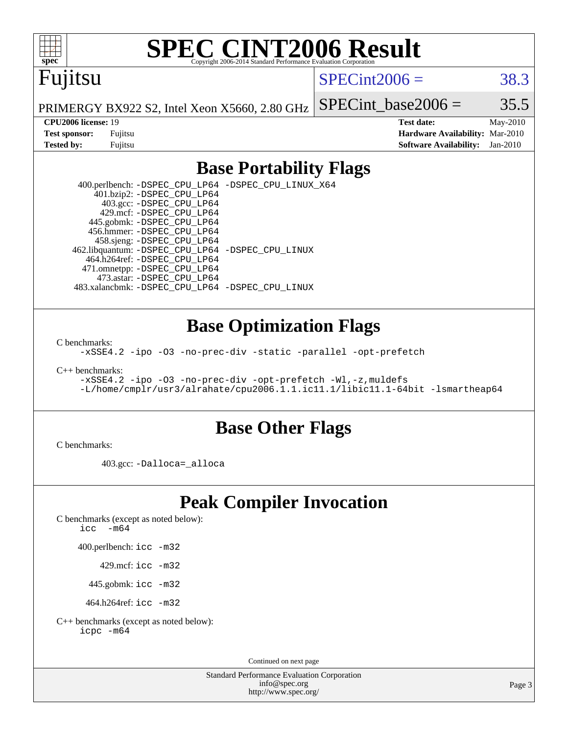

# **[SPEC CINT2006 Result](http://www.spec.org/auto/cpu2006/Docs/result-fields.html#SPECCINT2006Result)**

# Fujitsu

### $SPECint2006 = 38.3$  $SPECint2006 = 38.3$

PRIMERGY BX922 S2, Intel Xeon X5660, 2.80 GHz

SPECint base2006 =  $35.5$ 

**[CPU2006 license:](http://www.spec.org/auto/cpu2006/Docs/result-fields.html#CPU2006license)** 19 **[Test date:](http://www.spec.org/auto/cpu2006/Docs/result-fields.html#Testdate)** May-2010 **[Test sponsor:](http://www.spec.org/auto/cpu2006/Docs/result-fields.html#Testsponsor)** Fujitsu **[Hardware Availability:](http://www.spec.org/auto/cpu2006/Docs/result-fields.html#HardwareAvailability)** Mar-2010 **[Tested by:](http://www.spec.org/auto/cpu2006/Docs/result-fields.html#Testedby)** Fujitsu **[Software Availability:](http://www.spec.org/auto/cpu2006/Docs/result-fields.html#SoftwareAvailability)** Jan-2010

## **[Base Portability Flags](http://www.spec.org/auto/cpu2006/Docs/result-fields.html#BasePortabilityFlags)**

 400.perlbench: [-DSPEC\\_CPU\\_LP64](http://www.spec.org/cpu2006/results/res2010q3/cpu2006-20100702-12118.flags.html#b400.perlbench_basePORTABILITY_DSPEC_CPU_LP64) [-DSPEC\\_CPU\\_LINUX\\_X64](http://www.spec.org/cpu2006/results/res2010q3/cpu2006-20100702-12118.flags.html#b400.perlbench_baseCPORTABILITY_DSPEC_CPU_LINUX_X64) 401.bzip2: [-DSPEC\\_CPU\\_LP64](http://www.spec.org/cpu2006/results/res2010q3/cpu2006-20100702-12118.flags.html#suite_basePORTABILITY401_bzip2_DSPEC_CPU_LP64) 403.gcc: [-DSPEC\\_CPU\\_LP64](http://www.spec.org/cpu2006/results/res2010q3/cpu2006-20100702-12118.flags.html#suite_basePORTABILITY403_gcc_DSPEC_CPU_LP64) 429.mcf: [-DSPEC\\_CPU\\_LP64](http://www.spec.org/cpu2006/results/res2010q3/cpu2006-20100702-12118.flags.html#suite_basePORTABILITY429_mcf_DSPEC_CPU_LP64) 445.gobmk: [-DSPEC\\_CPU\\_LP64](http://www.spec.org/cpu2006/results/res2010q3/cpu2006-20100702-12118.flags.html#suite_basePORTABILITY445_gobmk_DSPEC_CPU_LP64) 456.hmmer: [-DSPEC\\_CPU\\_LP64](http://www.spec.org/cpu2006/results/res2010q3/cpu2006-20100702-12118.flags.html#suite_basePORTABILITY456_hmmer_DSPEC_CPU_LP64) 458.sjeng: [-DSPEC\\_CPU\\_LP64](http://www.spec.org/cpu2006/results/res2010q3/cpu2006-20100702-12118.flags.html#suite_basePORTABILITY458_sjeng_DSPEC_CPU_LP64) 462.libquantum: [-DSPEC\\_CPU\\_LP64](http://www.spec.org/cpu2006/results/res2010q3/cpu2006-20100702-12118.flags.html#suite_basePORTABILITY462_libquantum_DSPEC_CPU_LP64) [-DSPEC\\_CPU\\_LINUX](http://www.spec.org/cpu2006/results/res2010q3/cpu2006-20100702-12118.flags.html#b462.libquantum_baseCPORTABILITY_DSPEC_CPU_LINUX) 464.h264ref: [-DSPEC\\_CPU\\_LP64](http://www.spec.org/cpu2006/results/res2010q3/cpu2006-20100702-12118.flags.html#suite_basePORTABILITY464_h264ref_DSPEC_CPU_LP64) 471.omnetpp: [-DSPEC\\_CPU\\_LP64](http://www.spec.org/cpu2006/results/res2010q3/cpu2006-20100702-12118.flags.html#suite_basePORTABILITY471_omnetpp_DSPEC_CPU_LP64) 473.astar: [-DSPEC\\_CPU\\_LP64](http://www.spec.org/cpu2006/results/res2010q3/cpu2006-20100702-12118.flags.html#suite_basePORTABILITY473_astar_DSPEC_CPU_LP64) 483.xalancbmk: [-DSPEC\\_CPU\\_LP64](http://www.spec.org/cpu2006/results/res2010q3/cpu2006-20100702-12118.flags.html#suite_basePORTABILITY483_xalancbmk_DSPEC_CPU_LP64) [-DSPEC\\_CPU\\_LINUX](http://www.spec.org/cpu2006/results/res2010q3/cpu2006-20100702-12118.flags.html#b483.xalancbmk_baseCXXPORTABILITY_DSPEC_CPU_LINUX)

## **[Base Optimization Flags](http://www.spec.org/auto/cpu2006/Docs/result-fields.html#BaseOptimizationFlags)**

[C benchmarks](http://www.spec.org/auto/cpu2006/Docs/result-fields.html#Cbenchmarks):

[-xSSE4.2](http://www.spec.org/cpu2006/results/res2010q3/cpu2006-20100702-12118.flags.html#user_CCbase_f-xSSE42_f91528193cf0b216347adb8b939d4107) [-ipo](http://www.spec.org/cpu2006/results/res2010q3/cpu2006-20100702-12118.flags.html#user_CCbase_f-ipo) [-O3](http://www.spec.org/cpu2006/results/res2010q3/cpu2006-20100702-12118.flags.html#user_CCbase_f-O3) [-no-prec-div](http://www.spec.org/cpu2006/results/res2010q3/cpu2006-20100702-12118.flags.html#user_CCbase_f-no-prec-div) [-static](http://www.spec.org/cpu2006/results/res2010q3/cpu2006-20100702-12118.flags.html#user_CCbase_f-static) [-parallel](http://www.spec.org/cpu2006/results/res2010q3/cpu2006-20100702-12118.flags.html#user_CCbase_f-parallel) [-opt-prefetch](http://www.spec.org/cpu2006/results/res2010q3/cpu2006-20100702-12118.flags.html#user_CCbase_f-opt-prefetch)

[C++ benchmarks:](http://www.spec.org/auto/cpu2006/Docs/result-fields.html#CXXbenchmarks)

[-xSSE4.2](http://www.spec.org/cpu2006/results/res2010q3/cpu2006-20100702-12118.flags.html#user_CXXbase_f-xSSE42_f91528193cf0b216347adb8b939d4107) [-ipo](http://www.spec.org/cpu2006/results/res2010q3/cpu2006-20100702-12118.flags.html#user_CXXbase_f-ipo) [-O3](http://www.spec.org/cpu2006/results/res2010q3/cpu2006-20100702-12118.flags.html#user_CXXbase_f-O3) [-no-prec-div](http://www.spec.org/cpu2006/results/res2010q3/cpu2006-20100702-12118.flags.html#user_CXXbase_f-no-prec-div) [-opt-prefetch](http://www.spec.org/cpu2006/results/res2010q3/cpu2006-20100702-12118.flags.html#user_CXXbase_f-opt-prefetch) [-Wl,-z,muldefs](http://www.spec.org/cpu2006/results/res2010q3/cpu2006-20100702-12118.flags.html#user_CXXbase_link_force_multiple1_74079c344b956b9658436fd1b6dd3a8a) [-L/home/cmplr/usr3/alrahate/cpu2006.1.1.ic11.1/libic11.1-64bit -lsmartheap64](http://www.spec.org/cpu2006/results/res2010q3/cpu2006-20100702-12118.flags.html#user_CXXbase_SmartHeap64_e2306cda84805d1ab360117a79ff779c)

### **[Base Other Flags](http://www.spec.org/auto/cpu2006/Docs/result-fields.html#BaseOtherFlags)**

[C benchmarks](http://www.spec.org/auto/cpu2006/Docs/result-fields.html#Cbenchmarks):

403.gcc: [-Dalloca=\\_alloca](http://www.spec.org/cpu2006/results/res2010q3/cpu2006-20100702-12118.flags.html#b403.gcc_baseEXTRA_CFLAGS_Dalloca_be3056838c12de2578596ca5467af7f3)

# **[Peak Compiler Invocation](http://www.spec.org/auto/cpu2006/Docs/result-fields.html#PeakCompilerInvocation)**

[C benchmarks \(except as noted below\)](http://www.spec.org/auto/cpu2006/Docs/result-fields.html#Cbenchmarksexceptasnotedbelow):

[icc -m64](http://www.spec.org/cpu2006/results/res2010q3/cpu2006-20100702-12118.flags.html#user_CCpeak_intel_icc_64bit_f346026e86af2a669e726fe758c88044)

400.perlbench: [icc -m32](http://www.spec.org/cpu2006/results/res2010q3/cpu2006-20100702-12118.flags.html#user_peakCCLD400_perlbench_intel_icc_32bit_a6a621f8d50482236b970c6ac5f55f93)

429.mcf: [icc -m32](http://www.spec.org/cpu2006/results/res2010q3/cpu2006-20100702-12118.flags.html#user_peakCCLD429_mcf_intel_icc_32bit_a6a621f8d50482236b970c6ac5f55f93)

445.gobmk: [icc -m32](http://www.spec.org/cpu2006/results/res2010q3/cpu2006-20100702-12118.flags.html#user_peakCCLD445_gobmk_intel_icc_32bit_a6a621f8d50482236b970c6ac5f55f93)

464.h264ref: [icc -m32](http://www.spec.org/cpu2006/results/res2010q3/cpu2006-20100702-12118.flags.html#user_peakCCLD464_h264ref_intel_icc_32bit_a6a621f8d50482236b970c6ac5f55f93)

[C++ benchmarks \(except as noted below\):](http://www.spec.org/auto/cpu2006/Docs/result-fields.html#CXXbenchmarksexceptasnotedbelow) [icpc -m64](http://www.spec.org/cpu2006/results/res2010q3/cpu2006-20100702-12118.flags.html#user_CXXpeak_intel_icpc_64bit_fc66a5337ce925472a5c54ad6a0de310)

Continued on next page

Standard Performance Evaluation Corporation [info@spec.org](mailto:info@spec.org) <http://www.spec.org/>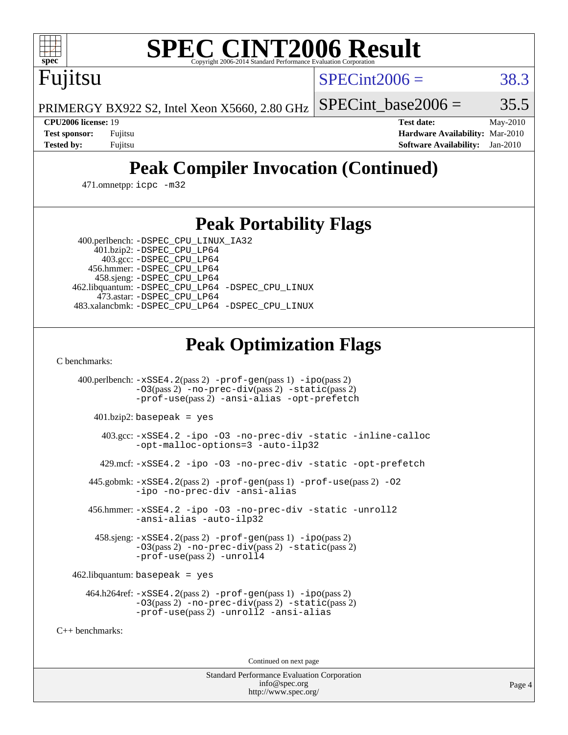

# **[SPEC CINT2006 Result](http://www.spec.org/auto/cpu2006/Docs/result-fields.html#SPECCINT2006Result)**

Fujitsu

 $SPECint2006 = 38.3$  $SPECint2006 = 38.3$ 

PRIMERGY BX922 S2, Intel Xeon X5660, 2.80 GHz

SPECint base2006 =  $35.5$ 

**[CPU2006 license:](http://www.spec.org/auto/cpu2006/Docs/result-fields.html#CPU2006license)** 19 **[Test date:](http://www.spec.org/auto/cpu2006/Docs/result-fields.html#Testdate)** May-2010 **[Test sponsor:](http://www.spec.org/auto/cpu2006/Docs/result-fields.html#Testsponsor)** Fujitsu **[Hardware Availability:](http://www.spec.org/auto/cpu2006/Docs/result-fields.html#HardwareAvailability)** Mar-2010 **[Tested by:](http://www.spec.org/auto/cpu2006/Docs/result-fields.html#Testedby)** Fujitsu **[Software Availability:](http://www.spec.org/auto/cpu2006/Docs/result-fields.html#SoftwareAvailability)** Jan-2010

# **[Peak Compiler Invocation \(Continued\)](http://www.spec.org/auto/cpu2006/Docs/result-fields.html#PeakCompilerInvocation)**

471.omnetpp: [icpc -m32](http://www.spec.org/cpu2006/results/res2010q3/cpu2006-20100702-12118.flags.html#user_peakCXXLD471_omnetpp_intel_icpc_32bit_4e5a5ef1a53fd332b3c49e69c3330699)

# **[Peak Portability Flags](http://www.spec.org/auto/cpu2006/Docs/result-fields.html#PeakPortabilityFlags)**

400.perlbench: [-DSPEC\\_CPU\\_LINUX\\_IA32](http://www.spec.org/cpu2006/results/res2010q3/cpu2006-20100702-12118.flags.html#b400.perlbench_peakCPORTABILITY_DSPEC_CPU_LINUX_IA32)

 401.bzip2: [-DSPEC\\_CPU\\_LP64](http://www.spec.org/cpu2006/results/res2010q3/cpu2006-20100702-12118.flags.html#suite_peakPORTABILITY401_bzip2_DSPEC_CPU_LP64) 403.gcc: [-DSPEC\\_CPU\\_LP64](http://www.spec.org/cpu2006/results/res2010q3/cpu2006-20100702-12118.flags.html#suite_peakPORTABILITY403_gcc_DSPEC_CPU_LP64) 456.hmmer: [-DSPEC\\_CPU\\_LP64](http://www.spec.org/cpu2006/results/res2010q3/cpu2006-20100702-12118.flags.html#suite_peakPORTABILITY456_hmmer_DSPEC_CPU_LP64) 458.sjeng: [-DSPEC\\_CPU\\_LP64](http://www.spec.org/cpu2006/results/res2010q3/cpu2006-20100702-12118.flags.html#suite_peakPORTABILITY458_sjeng_DSPEC_CPU_LP64) 462.libquantum: [-DSPEC\\_CPU\\_LP64](http://www.spec.org/cpu2006/results/res2010q3/cpu2006-20100702-12118.flags.html#suite_peakPORTABILITY462_libquantum_DSPEC_CPU_LP64) [-DSPEC\\_CPU\\_LINUX](http://www.spec.org/cpu2006/results/res2010q3/cpu2006-20100702-12118.flags.html#b462.libquantum_peakCPORTABILITY_DSPEC_CPU_LINUX) 473.astar: [-DSPEC\\_CPU\\_LP64](http://www.spec.org/cpu2006/results/res2010q3/cpu2006-20100702-12118.flags.html#suite_peakPORTABILITY473_astar_DSPEC_CPU_LP64) 483.xalancbmk: [-DSPEC\\_CPU\\_LP64](http://www.spec.org/cpu2006/results/res2010q3/cpu2006-20100702-12118.flags.html#suite_peakPORTABILITY483_xalancbmk_DSPEC_CPU_LP64) [-DSPEC\\_CPU\\_LINUX](http://www.spec.org/cpu2006/results/res2010q3/cpu2006-20100702-12118.flags.html#b483.xalancbmk_peakCXXPORTABILITY_DSPEC_CPU_LINUX)

# **[Peak Optimization Flags](http://www.spec.org/auto/cpu2006/Docs/result-fields.html#PeakOptimizationFlags)**

[C benchmarks](http://www.spec.org/auto/cpu2006/Docs/result-fields.html#Cbenchmarks):

 400.perlbench: [-xSSE4.2](http://www.spec.org/cpu2006/results/res2010q3/cpu2006-20100702-12118.flags.html#user_peakPASS2_CFLAGSPASS2_LDCFLAGS400_perlbench_f-xSSE42_f91528193cf0b216347adb8b939d4107)(pass 2) [-prof-gen](http://www.spec.org/cpu2006/results/res2010q3/cpu2006-20100702-12118.flags.html#user_peakPASS1_CFLAGSPASS1_LDCFLAGS400_perlbench_prof_gen_e43856698f6ca7b7e442dfd80e94a8fc)(pass 1) [-ipo](http://www.spec.org/cpu2006/results/res2010q3/cpu2006-20100702-12118.flags.html#user_peakPASS2_CFLAGSPASS2_LDCFLAGS400_perlbench_f-ipo)(pass 2) [-O3](http://www.spec.org/cpu2006/results/res2010q3/cpu2006-20100702-12118.flags.html#user_peakPASS2_CFLAGSPASS2_LDCFLAGS400_perlbench_f-O3)(pass 2) [-no-prec-div](http://www.spec.org/cpu2006/results/res2010q3/cpu2006-20100702-12118.flags.html#user_peakPASS2_CFLAGSPASS2_LDCFLAGS400_perlbench_f-no-prec-div)(pass 2) [-static](http://www.spec.org/cpu2006/results/res2010q3/cpu2006-20100702-12118.flags.html#user_peakPASS2_CFLAGSPASS2_LDCFLAGS400_perlbench_f-static)(pass 2) [-prof-use](http://www.spec.org/cpu2006/results/res2010q3/cpu2006-20100702-12118.flags.html#user_peakPASS2_CFLAGSPASS2_LDCFLAGS400_perlbench_prof_use_bccf7792157ff70d64e32fe3e1250b55)(pass 2) [-ansi-alias](http://www.spec.org/cpu2006/results/res2010q3/cpu2006-20100702-12118.flags.html#user_peakCOPTIMIZE400_perlbench_f-ansi-alias) [-opt-prefetch](http://www.spec.org/cpu2006/results/res2010q3/cpu2006-20100702-12118.flags.html#user_peakCOPTIMIZE400_perlbench_f-opt-prefetch) 401.bzip2: basepeak = yes 403.gcc: [-xSSE4.2](http://www.spec.org/cpu2006/results/res2010q3/cpu2006-20100702-12118.flags.html#user_peakCOPTIMIZE403_gcc_f-xSSE42_f91528193cf0b216347adb8b939d4107) [-ipo](http://www.spec.org/cpu2006/results/res2010q3/cpu2006-20100702-12118.flags.html#user_peakCOPTIMIZE403_gcc_f-ipo) [-O3](http://www.spec.org/cpu2006/results/res2010q3/cpu2006-20100702-12118.flags.html#user_peakCOPTIMIZE403_gcc_f-O3) [-no-prec-div](http://www.spec.org/cpu2006/results/res2010q3/cpu2006-20100702-12118.flags.html#user_peakCOPTIMIZE403_gcc_f-no-prec-div) [-static](http://www.spec.org/cpu2006/results/res2010q3/cpu2006-20100702-12118.flags.html#user_peakCOPTIMIZE403_gcc_f-static) [-inline-calloc](http://www.spec.org/cpu2006/results/res2010q3/cpu2006-20100702-12118.flags.html#user_peakCOPTIMIZE403_gcc_f-inline-calloc) [-opt-malloc-options=3](http://www.spec.org/cpu2006/results/res2010q3/cpu2006-20100702-12118.flags.html#user_peakCOPTIMIZE403_gcc_f-opt-malloc-options_13ab9b803cf986b4ee62f0a5998c2238) [-auto-ilp32](http://www.spec.org/cpu2006/results/res2010q3/cpu2006-20100702-12118.flags.html#user_peakCOPTIMIZE403_gcc_f-auto-ilp32) 429.mcf: [-xSSE4.2](http://www.spec.org/cpu2006/results/res2010q3/cpu2006-20100702-12118.flags.html#user_peakCOPTIMIZE429_mcf_f-xSSE42_f91528193cf0b216347adb8b939d4107) [-ipo](http://www.spec.org/cpu2006/results/res2010q3/cpu2006-20100702-12118.flags.html#user_peakCOPTIMIZE429_mcf_f-ipo) [-O3](http://www.spec.org/cpu2006/results/res2010q3/cpu2006-20100702-12118.flags.html#user_peakCOPTIMIZE429_mcf_f-O3) [-no-prec-div](http://www.spec.org/cpu2006/results/res2010q3/cpu2006-20100702-12118.flags.html#user_peakCOPTIMIZE429_mcf_f-no-prec-div) [-static](http://www.spec.org/cpu2006/results/res2010q3/cpu2006-20100702-12118.flags.html#user_peakCOPTIMIZE429_mcf_f-static) [-opt-prefetch](http://www.spec.org/cpu2006/results/res2010q3/cpu2006-20100702-12118.flags.html#user_peakCOPTIMIZE429_mcf_f-opt-prefetch) 445.gobmk: [-xSSE4.2](http://www.spec.org/cpu2006/results/res2010q3/cpu2006-20100702-12118.flags.html#user_peakPASS2_CFLAGSPASS2_LDCFLAGS445_gobmk_f-xSSE42_f91528193cf0b216347adb8b939d4107)(pass 2) [-prof-gen](http://www.spec.org/cpu2006/results/res2010q3/cpu2006-20100702-12118.flags.html#user_peakPASS1_CFLAGSPASS1_LDCFLAGS445_gobmk_prof_gen_e43856698f6ca7b7e442dfd80e94a8fc)(pass 1) [-prof-use](http://www.spec.org/cpu2006/results/res2010q3/cpu2006-20100702-12118.flags.html#user_peakPASS2_CFLAGSPASS2_LDCFLAGS445_gobmk_prof_use_bccf7792157ff70d64e32fe3e1250b55)(pass 2) [-O2](http://www.spec.org/cpu2006/results/res2010q3/cpu2006-20100702-12118.flags.html#user_peakCOPTIMIZE445_gobmk_f-O2) [-ipo](http://www.spec.org/cpu2006/results/res2010q3/cpu2006-20100702-12118.flags.html#user_peakCOPTIMIZE445_gobmk_f-ipo) [-no-prec-div](http://www.spec.org/cpu2006/results/res2010q3/cpu2006-20100702-12118.flags.html#user_peakCOPTIMIZE445_gobmk_f-no-prec-div) [-ansi-alias](http://www.spec.org/cpu2006/results/res2010q3/cpu2006-20100702-12118.flags.html#user_peakCOPTIMIZE445_gobmk_f-ansi-alias) 456.hmmer: [-xSSE4.2](http://www.spec.org/cpu2006/results/res2010q3/cpu2006-20100702-12118.flags.html#user_peakCOPTIMIZE456_hmmer_f-xSSE42_f91528193cf0b216347adb8b939d4107) [-ipo](http://www.spec.org/cpu2006/results/res2010q3/cpu2006-20100702-12118.flags.html#user_peakCOPTIMIZE456_hmmer_f-ipo) [-O3](http://www.spec.org/cpu2006/results/res2010q3/cpu2006-20100702-12118.flags.html#user_peakCOPTIMIZE456_hmmer_f-O3) [-no-prec-div](http://www.spec.org/cpu2006/results/res2010q3/cpu2006-20100702-12118.flags.html#user_peakCOPTIMIZE456_hmmer_f-no-prec-div) [-static](http://www.spec.org/cpu2006/results/res2010q3/cpu2006-20100702-12118.flags.html#user_peakCOPTIMIZE456_hmmer_f-static) [-unroll2](http://www.spec.org/cpu2006/results/res2010q3/cpu2006-20100702-12118.flags.html#user_peakCOPTIMIZE456_hmmer_f-unroll_784dae83bebfb236979b41d2422d7ec2) [-ansi-alias](http://www.spec.org/cpu2006/results/res2010q3/cpu2006-20100702-12118.flags.html#user_peakCOPTIMIZE456_hmmer_f-ansi-alias) [-auto-ilp32](http://www.spec.org/cpu2006/results/res2010q3/cpu2006-20100702-12118.flags.html#user_peakCOPTIMIZE456_hmmer_f-auto-ilp32) 458.sjeng: [-xSSE4.2](http://www.spec.org/cpu2006/results/res2010q3/cpu2006-20100702-12118.flags.html#user_peakPASS2_CFLAGSPASS2_LDCFLAGS458_sjeng_f-xSSE42_f91528193cf0b216347adb8b939d4107)(pass 2) [-prof-gen](http://www.spec.org/cpu2006/results/res2010q3/cpu2006-20100702-12118.flags.html#user_peakPASS1_CFLAGSPASS1_LDCFLAGS458_sjeng_prof_gen_e43856698f6ca7b7e442dfd80e94a8fc)(pass 1) [-ipo](http://www.spec.org/cpu2006/results/res2010q3/cpu2006-20100702-12118.flags.html#user_peakPASS2_CFLAGSPASS2_LDCFLAGS458_sjeng_f-ipo)(pass 2) [-O3](http://www.spec.org/cpu2006/results/res2010q3/cpu2006-20100702-12118.flags.html#user_peakPASS2_CFLAGSPASS2_LDCFLAGS458_sjeng_f-O3)(pass 2) [-no-prec-div](http://www.spec.org/cpu2006/results/res2010q3/cpu2006-20100702-12118.flags.html#user_peakPASS2_CFLAGSPASS2_LDCFLAGS458_sjeng_f-no-prec-div)(pass 2) [-static](http://www.spec.org/cpu2006/results/res2010q3/cpu2006-20100702-12118.flags.html#user_peakPASS2_CFLAGSPASS2_LDCFLAGS458_sjeng_f-static)(pass 2) [-prof-use](http://www.spec.org/cpu2006/results/res2010q3/cpu2006-20100702-12118.flags.html#user_peakPASS2_CFLAGSPASS2_LDCFLAGS458_sjeng_prof_use_bccf7792157ff70d64e32fe3e1250b55)(pass 2) [-unroll4](http://www.spec.org/cpu2006/results/res2010q3/cpu2006-20100702-12118.flags.html#user_peakCOPTIMIZE458_sjeng_f-unroll_4e5e4ed65b7fd20bdcd365bec371b81f)  $462$ .libquantum: basepeak = yes 464.h264ref: [-xSSE4.2](http://www.spec.org/cpu2006/results/res2010q3/cpu2006-20100702-12118.flags.html#user_peakPASS2_CFLAGSPASS2_LDCFLAGS464_h264ref_f-xSSE42_f91528193cf0b216347adb8b939d4107)(pass 2) [-prof-gen](http://www.spec.org/cpu2006/results/res2010q3/cpu2006-20100702-12118.flags.html#user_peakPASS1_CFLAGSPASS1_LDCFLAGS464_h264ref_prof_gen_e43856698f6ca7b7e442dfd80e94a8fc)(pass 1) [-ipo](http://www.spec.org/cpu2006/results/res2010q3/cpu2006-20100702-12118.flags.html#user_peakPASS2_CFLAGSPASS2_LDCFLAGS464_h264ref_f-ipo)(pass 2) [-O3](http://www.spec.org/cpu2006/results/res2010q3/cpu2006-20100702-12118.flags.html#user_peakPASS2_CFLAGSPASS2_LDCFLAGS464_h264ref_f-O3)(pass 2) [-no-prec-div](http://www.spec.org/cpu2006/results/res2010q3/cpu2006-20100702-12118.flags.html#user_peakPASS2_CFLAGSPASS2_LDCFLAGS464_h264ref_f-no-prec-div)(pass 2) [-static](http://www.spec.org/cpu2006/results/res2010q3/cpu2006-20100702-12118.flags.html#user_peakPASS2_CFLAGSPASS2_LDCFLAGS464_h264ref_f-static)(pass 2) [-prof-use](http://www.spec.org/cpu2006/results/res2010q3/cpu2006-20100702-12118.flags.html#user_peakPASS2_CFLAGSPASS2_LDCFLAGS464_h264ref_prof_use_bccf7792157ff70d64e32fe3e1250b55)(pass 2) [-unroll2](http://www.spec.org/cpu2006/results/res2010q3/cpu2006-20100702-12118.flags.html#user_peakCOPTIMIZE464_h264ref_f-unroll_784dae83bebfb236979b41d2422d7ec2) [-ansi-alias](http://www.spec.org/cpu2006/results/res2010q3/cpu2006-20100702-12118.flags.html#user_peakCOPTIMIZE464_h264ref_f-ansi-alias) [C++ benchmarks:](http://www.spec.org/auto/cpu2006/Docs/result-fields.html#CXXbenchmarks)

Continued on next page

Standard Performance Evaluation Corporation [info@spec.org](mailto:info@spec.org) <http://www.spec.org/>